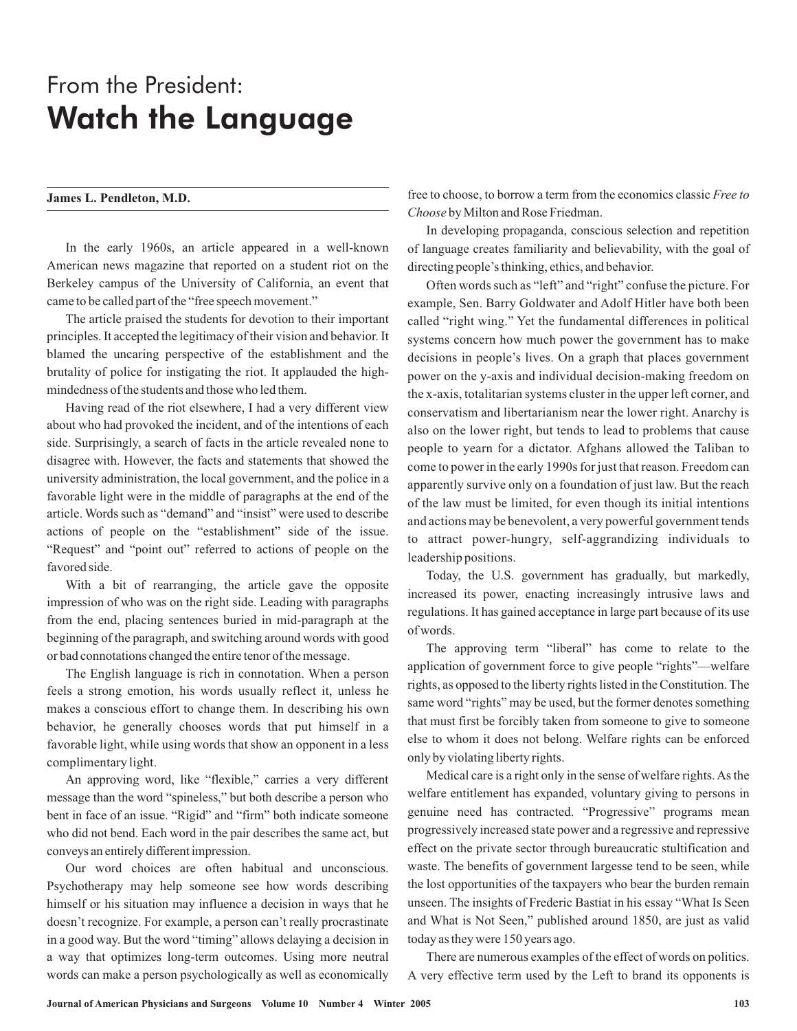## From the President: Watch the Language

## **James L. Pendleton, M.D.**

In the early 1960s, an article appeared in a well-known American news magazine that reported on a student riot on the Berkeley campus of the University of California, an event that came to be called part of the "free speech movement."

The article praised the students for devotion to their important principles. It accepted the legitimacy of their vision and behavior. It blamed the uncaring perspective of the establishment and the brutality of police for instigating the riot. It applauded the highmindedness of the students and those who led them.

Having read of the riot elsewhere, I had a very different view about who had provoked the incident, and of the intentions of each side. Surprisingly, a search of facts in the article revealed none to disagree with. However, the facts and statements that showed the university administration, the local government, and the police in a favorable light were in the middle of paragraphs at the end of the article. Words such as "demand" and "insist" were used to describe actions of people on the "establishment" side of the issue. "Request" and "point out" referred to actions of people on the favored side.

With a bit of rearranging, the article gave the opposite impression of who was on the right side. Leading with paragraphs from the end, placing sentences buried in mid-paragraph at the beginning of the paragraph, and switching around words with good or bad connotations changed the entire tenor of the message.

The English language is rich in connotation. When a person feels a strong emotion, his words usually reflect it, unless he makes a conscious effort to change them. In describing his own behavior, he generally chooses words that put himself in a favorable light, while using words that show an opponent in a less complimentary light.

An approving word, like "flexible," carries a very different message than the word "spineless," but both describe a person who bent in face of an issue. "Rigid" and "firm" both indicate someone who did not bend. Each word in the pair describes the same act, but conveys an entirely different impression.

Our word choices are often habitual and unconscious. Psychotherapy may help someone see how words describing himself or his situation may influence a decision in ways that he doesn't recognize. For example, a person can't really procrastinate in a good way. But the word "timing" allows delaying a decision in a way that optimizes long-term outcomes. Using more neutral words can make a person psychologically as well as economically free to choose, to borrow a term from the economics classic *Free to* by Milton and Rose Friedman. *Choose*

In developing propaganda, conscious selection and repetition of language creates familiarity and believability, with the goal of directing people's thinking, ethics, and behavior.

Often words such as "left" and "right" confuse the picture. For example, Sen. Barry Goldwater and Adolf Hitler have both been called "right wing." Yet the fundamental differences in political systems concern how much power the government has to make decisions in people's lives. On a graph that places government power on the y-axis and individual decision-making freedom on the x-axis, totalitarian systems cluster in the upper left corner, and conservatism and libertarianism near the lower right. Anarchy is also on the lower right, but tends to lead to problems that cause people to yearn for a dictator. Afghans allowed the Taliban to come to power in the early 1990s for just that reason. Freedom can apparently survive only on a foundation of just law. But the reach of the law must be limited, for even though its initial intentions and actions may be benevolent, a very powerful government tends to attract power-hungry, self-aggrandizing individuals to leadership positions.

Today, the U.S. government has gradually, but markedly, increased its power, enacting increasingly intrusive laws and regulations. It has gained acceptance in large part because of its use of words.

The approving term "liberal" has come to relate to the application of government force to give people "rights"—welfare rights, as opposed to the liberty rights listed in the Constitution. The same word "rights" may be used, but the former denotes something that must first be forcibly taken from someone to give to someone else to whom it does not belong. Welfare rights can be enforced only by violating liberty rights.

Medical care is a right only in the sense of welfare rights. As the welfare entitlement has expanded, voluntary giving to persons in genuine need has contracted. "Progressive" programs mean progressively increased state power and a regressive and repressive effect on the private sector through bureaucratic stultification and waste. The benefits of government largesse tend to be seen, while the lost opportunities of the taxpayers who bear the burden remain unseen. The insights of Frederic Bastiat in his essay "What Is Seen and What is Not Seen," published around 1850, are just as valid today as they were 150 years ago.

There are numerous examples of the effect of words on politics. A very effective term used by the Left to brand its opponents is